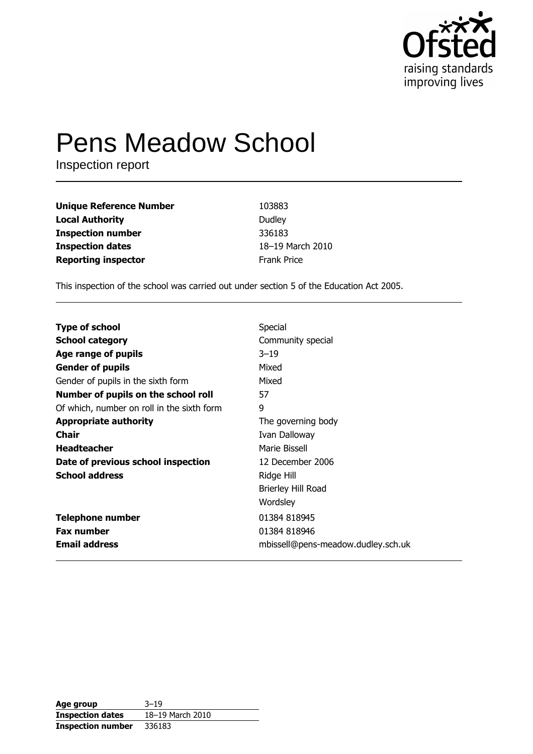

# **Pens Meadow School**

Inspection report

| <b>Unique Reference Number</b> | 103883             |
|--------------------------------|--------------------|
| <b>Local Authority</b>         | Dudley             |
| <b>Inspection number</b>       | 336183             |
| <b>Inspection dates</b>        | 18-19 March 2010   |
| <b>Reporting inspector</b>     | <b>Frank Price</b> |

This inspection of the school was carried out under section 5 of the Education Act 2005.

| <b>Type of school</b>                      | Special                            |
|--------------------------------------------|------------------------------------|
| <b>School category</b>                     | Community special                  |
| Age range of pupils                        | $3 - 19$                           |
| <b>Gender of pupils</b>                    | Mixed                              |
| Gender of pupils in the sixth form         | Mixed                              |
| Number of pupils on the school roll        | 57                                 |
| Of which, number on roll in the sixth form | 9                                  |
| <b>Appropriate authority</b>               | The governing body                 |
| <b>Chair</b>                               | Ivan Dalloway                      |
| <b>Headteacher</b>                         | Marie Bissell                      |
| Date of previous school inspection         | 12 December 2006                   |
| <b>School address</b>                      | Ridge Hill                         |
|                                            | Brierley Hill Road                 |
|                                            | Wordsley                           |
| <b>Telephone number</b>                    | 01384 818945                       |
| <b>Fax number</b>                          | 01384 818946                       |
| <b>Email address</b>                       | mbissell@pens-meadow.dudley.sch.uk |

| Age group                | $3 - 19$         |
|--------------------------|------------------|
| <b>Inspection dates</b>  | 18-19 March 2010 |
| <b>Inspection number</b> | 336183           |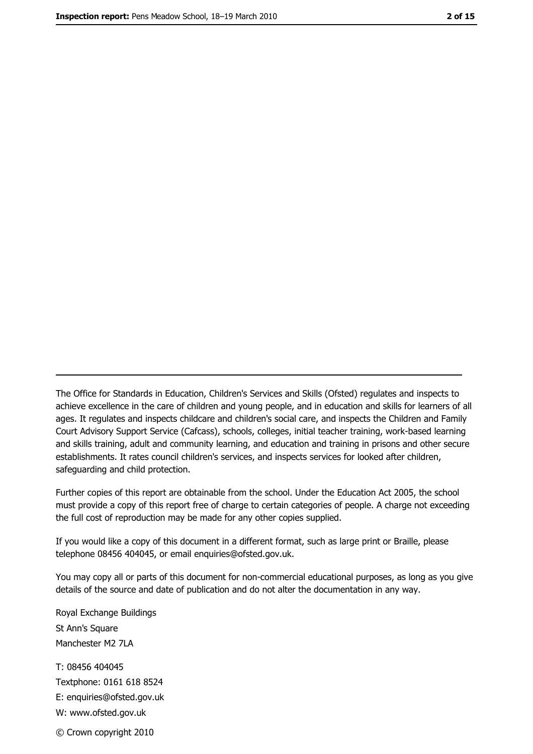The Office for Standards in Education, Children's Services and Skills (Ofsted) regulates and inspects to achieve excellence in the care of children and young people, and in education and skills for learners of all ages. It regulates and inspects childcare and children's social care, and inspects the Children and Family Court Advisory Support Service (Cafcass), schools, colleges, initial teacher training, work-based learning and skills training, adult and community learning, and education and training in prisons and other secure establishments. It rates council children's services, and inspects services for looked after children, safequarding and child protection.

Further copies of this report are obtainable from the school. Under the Education Act 2005, the school must provide a copy of this report free of charge to certain categories of people. A charge not exceeding the full cost of reproduction may be made for any other copies supplied.

If you would like a copy of this document in a different format, such as large print or Braille, please telephone 08456 404045, or email enquiries@ofsted.gov.uk.

You may copy all or parts of this document for non-commercial educational purposes, as long as you give details of the source and date of publication and do not alter the documentation in any way.

Royal Exchange Buildings St Ann's Square Manchester M2 7LA T: 08456 404045 Textphone: 0161 618 8524 E: enquiries@ofsted.gov.uk W: www.ofsted.gov.uk © Crown copyright 2010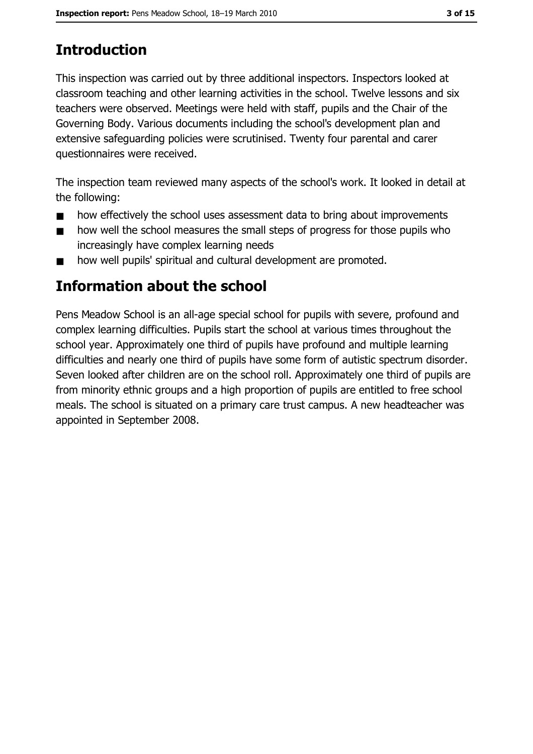# **Introduction**

This inspection was carried out by three additional inspectors. Inspectors looked at classroom teaching and other learning activities in the school. Twelve lessons and six teachers were observed. Meetings were held with staff, pupils and the Chair of the Governing Body. Various documents including the school's development plan and extensive safequarding policies were scrutinised. Twenty four parental and carer questionnaires were received.

The inspection team reviewed many aspects of the school's work. It looked in detail at the following:

- how effectively the school uses assessment data to bring about improvements  $\blacksquare$
- how well the school measures the small steps of progress for those pupils who  $\blacksquare$ increasingly have complex learning needs
- how well pupils' spiritual and cultural development are promoted.  $\blacksquare$

## Information about the school

Pens Meadow School is an all-age special school for pupils with severe, profound and complex learning difficulties. Pupils start the school at various times throughout the school year. Approximately one third of pupils have profound and multiple learning difficulties and nearly one third of pupils have some form of autistic spectrum disorder. Seven looked after children are on the school roll. Approximately one third of pupils are from minority ethnic groups and a high proportion of pupils are entitled to free school meals. The school is situated on a primary care trust campus. A new headteacher was appointed in September 2008.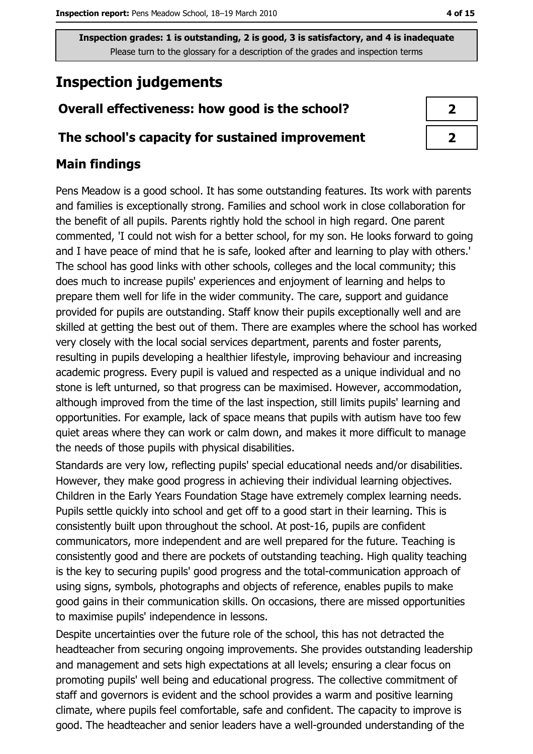# **Inspection judgements**

## Overall effectiveness: how good is the school?

## The school's capacity for sustained improvement

## **Main findings**

Pens Meadow is a good school. It has some outstanding features. Its work with parents and families is exceptionally strong. Families and school work in close collaboration for the benefit of all pupils. Parents rightly hold the school in high regard. One parent commented, 'I could not wish for a better school, for my son. He looks forward to going and I have peace of mind that he is safe, looked after and learning to play with others.' The school has good links with other schools, colleges and the local community; this does much to increase pupils' experiences and enjoyment of learning and helps to prepare them well for life in the wider community. The care, support and guidance provided for pupils are outstanding. Staff know their pupils exceptionally well and are skilled at getting the best out of them. There are examples where the school has worked very closely with the local social services department, parents and foster parents, resulting in pupils developing a healthier lifestyle, improving behaviour and increasing academic progress. Every pupil is valued and respected as a unique individual and no stone is left unturned, so that progress can be maximised. However, accommodation, although improved from the time of the last inspection, still limits pupils' learning and opportunities. For example, lack of space means that pupils with autism have too few quiet areas where they can work or calm down, and makes it more difficult to manage the needs of those pupils with physical disabilities.

Standards are very low, reflecting pupils' special educational needs and/or disabilities. However, they make good progress in achieving their individual learning objectives. Children in the Early Years Foundation Stage have extremely complex learning needs. Pupils settle quickly into school and get off to a good start in their learning. This is consistently built upon throughout the school. At post-16, pupils are confident communicators, more independent and are well prepared for the future. Teaching is consistently good and there are pockets of outstanding teaching. High quality teaching is the key to securing pupils' good progress and the total-communication approach of using signs, symbols, photographs and objects of reference, enables pupils to make good gains in their communication skills. On occasions, there are missed opportunities to maximise pupils' independence in lessons.

Despite uncertainties over the future role of the school, this has not detracted the headteacher from securing ongoing improvements. She provides outstanding leadership and management and sets high expectations at all levels; ensuring a clear focus on promoting pupils' well being and educational progress. The collective commitment of staff and governors is evident and the school provides a warm and positive learning climate, where pupils feel comfortable, safe and confident. The capacity to improve is good. The headteacher and senior leaders have a well-grounded understanding of the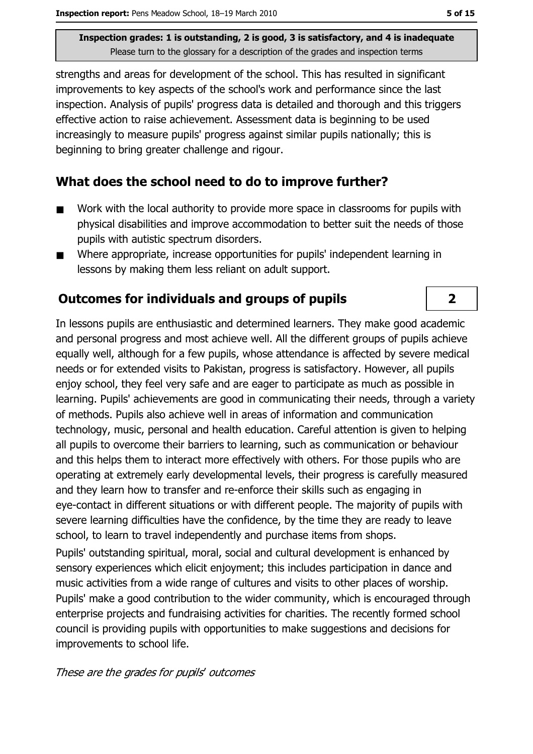strengths and areas for development of the school. This has resulted in significant improvements to key aspects of the school's work and performance since the last inspection. Analysis of pupils' progress data is detailed and thorough and this triggers effective action to raise achievement. Assessment data is beginning to be used increasingly to measure pupils' progress against similar pupils nationally; this is beginning to bring greater challenge and rigour.

## What does the school need to do to improve further?

- Work with the local authority to provide more space in classrooms for pupils with  $\blacksquare$ physical disabilities and improve accommodation to better suit the needs of those pupils with autistic spectrum disorders.
- Where appropriate, increase opportunities for pupils' independent learning in  $\blacksquare$ lessons by making them less reliant on adult support.

## **Outcomes for individuals and groups of pupils**

In lessons pupils are enthusiastic and determined learners. They make good academic and personal progress and most achieve well. All the different groups of pupils achieve equally well, although for a few pupils, whose attendance is affected by severe medical needs or for extended visits to Pakistan, progress is satisfactory. However, all pupils enjoy school, they feel very safe and are eager to participate as much as possible in learning. Pupils' achievements are good in communicating their needs, through a variety of methods. Pupils also achieve well in areas of information and communication technology, music, personal and health education. Careful attention is given to helping all pupils to overcome their barriers to learning, such as communication or behaviour and this helps them to interact more effectively with others. For those pupils who are operating at extremely early developmental levels, their progress is carefully measured and they learn how to transfer and re-enforce their skills such as engaging in eye-contact in different situations or with different people. The majority of pupils with severe learning difficulties have the confidence, by the time they are ready to leave school, to learn to travel independently and purchase items from shops.

Pupils' outstanding spiritual, moral, social and cultural development is enhanced by sensory experiences which elicit enjoyment; this includes participation in dance and music activities from a wide range of cultures and visits to other places of worship. Pupils' make a good contribution to the wider community, which is encouraged through enterprise projects and fundraising activities for charities. The recently formed school council is providing pupils with opportunities to make suggestions and decisions for improvements to school life.

These are the grades for pupils' outcomes

 $2<sup>1</sup>$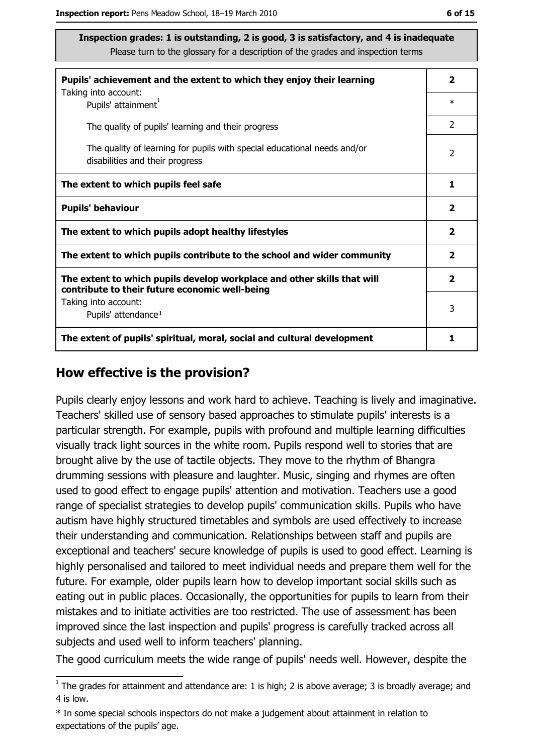| Pupils' achievement and the extent to which they enjoy their learning                                                     |                         |  |
|---------------------------------------------------------------------------------------------------------------------------|-------------------------|--|
| Taking into account:<br>Pupils' attainment <sup>1</sup>                                                                   | $\ast$                  |  |
| The quality of pupils' learning and their progress                                                                        | $\mathcal{P}$           |  |
| The quality of learning for pupils with special educational needs and/or<br>disabilities and their progress               | $\overline{2}$          |  |
| The extent to which pupils feel safe                                                                                      | 1                       |  |
| <b>Pupils' behaviour</b>                                                                                                  | $\mathbf{2}$            |  |
| The extent to which pupils adopt healthy lifestyles                                                                       | 2                       |  |
| The extent to which pupils contribute to the school and wider community                                                   |                         |  |
| The extent to which pupils develop workplace and other skills that will<br>contribute to their future economic well-being | $\overline{\mathbf{2}}$ |  |
| Taking into account:                                                                                                      | 3                       |  |
| Pupils' attendance <sup>1</sup>                                                                                           |                         |  |
| The extent of pupils' spiritual, moral, social and cultural development                                                   | 1                       |  |

#### How effective is the provision?

Pupils clearly enjoy lessons and work hard to achieve. Teaching is lively and imaginative. Teachers' skilled use of sensory based approaches to stimulate pupils' interests is a particular strength. For example, pupils with profound and multiple learning difficulties visually track light sources in the white room. Pupils respond well to stories that are brought alive by the use of tactile objects. They move to the rhythm of Bhangra drumming sessions with pleasure and laughter. Music, singing and rhymes are often used to good effect to engage pupils' attention and motivation. Teachers use a good range of specialist strategies to develop pupils' communication skills. Pupils who have autism have highly structured timetables and symbols are used effectively to increase their understanding and communication. Relationships between staff and pupils are exceptional and teachers' secure knowledge of pupils is used to good effect. Learning is highly personalised and tailored to meet individual needs and prepare them well for the future. For example, older pupils learn how to develop important social skills such as eating out in public places. Occasionally, the opportunities for pupils to learn from their mistakes and to initiate activities are too restricted. The use of assessment has been improved since the last inspection and pupils' progress is carefully tracked across all subjects and used well to inform teachers' planning.

The good curriculum meets the wide range of pupils' needs well. However, despite the

\* In some special schools inspectors do not make a judgement about attainment in relation to expectations of the pupils' age.

 $\frac{1}{1}$  The grades for attainment and attendance are: 1 is high; 2 is above average; 3 is broadly average; and 4 is low.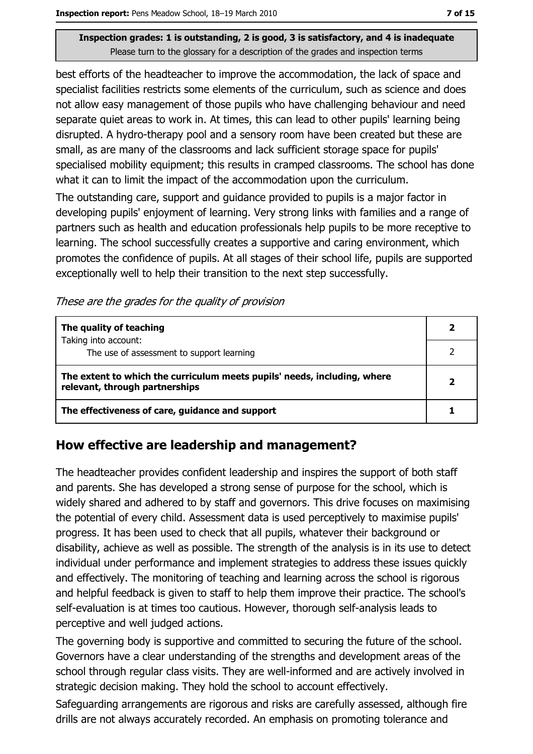best efforts of the headteacher to improve the accommodation, the lack of space and specialist facilities restricts some elements of the curriculum, such as science and does not allow easy management of those pupils who have challenging behaviour and need separate quiet areas to work in. At times, this can lead to other pupils' learning being disrupted. A hydro-therapy pool and a sensory room have been created but these are small, as are many of the classrooms and lack sufficient storage space for pupils' specialised mobility equipment; this results in cramped classrooms. The school has done what it can to limit the impact of the accommodation upon the curriculum.

The outstanding care, support and guidance provided to pupils is a major factor in developing pupils' enjoyment of learning. Very strong links with families and a range of partners such as health and education professionals help pupils to be more receptive to learning. The school successfully creates a supportive and caring environment, which promotes the confidence of pupils. At all stages of their school life, pupils are supported exceptionally well to help their transition to the next step successfully.

These are the grades for the quality of provision

| The quality of teaching                                                                                    |  |
|------------------------------------------------------------------------------------------------------------|--|
| Taking into account:<br>The use of assessment to support learning                                          |  |
| The extent to which the curriculum meets pupils' needs, including, where<br>relevant, through partnerships |  |
| The effectiveness of care, guidance and support                                                            |  |

## How effective are leadership and management?

The headteacher provides confident leadership and inspires the support of both staff and parents. She has developed a strong sense of purpose for the school, which is widely shared and adhered to by staff and governors. This drive focuses on maximising the potential of every child. Assessment data is used perceptively to maximise pupils' progress. It has been used to check that all pupils, whatever their background or disability, achieve as well as possible. The strength of the analysis is in its use to detect individual under performance and implement strategies to address these issues quickly and effectively. The monitoring of teaching and learning across the school is rigorous and helpful feedback is given to staff to help them improve their practice. The school's self-evaluation is at times too cautious. However, thorough self-analysis leads to perceptive and well judged actions.

The governing body is supportive and committed to securing the future of the school. Governors have a clear understanding of the strengths and development areas of the school through regular class visits. They are well-informed and are actively involved in strategic decision making. They hold the school to account effectively.

Safeguarding arrangements are rigorous and risks are carefully assessed, although fire drills are not always accurately recorded. An emphasis on promoting tolerance and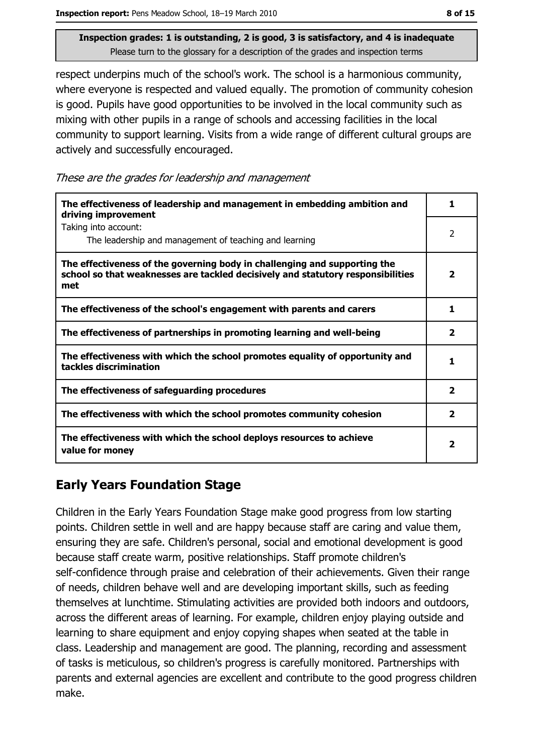respect underpins much of the school's work. The school is a harmonious community, where everyone is respected and valued equally. The promotion of community cohesion is good. Pupils have good opportunities to be involved in the local community such as mixing with other pupils in a range of schools and accessing facilities in the local community to support learning. Visits from a wide range of different cultural groups are actively and successfully encouraged.

These are the grades for leadership and management

| The effectiveness of leadership and management in embedding ambition and<br>driving improvement                                                                     |                          |
|---------------------------------------------------------------------------------------------------------------------------------------------------------------------|--------------------------|
| Taking into account:<br>The leadership and management of teaching and learning                                                                                      | $\overline{\phantom{a}}$ |
| The effectiveness of the governing body in challenging and supporting the<br>school so that weaknesses are tackled decisively and statutory responsibilities<br>met | 2                        |
| The effectiveness of the school's engagement with parents and carers                                                                                                | 1                        |
| The effectiveness of partnerships in promoting learning and well-being                                                                                              | $\overline{\mathbf{2}}$  |
| The effectiveness with which the school promotes equality of opportunity and<br>tackles discrimination                                                              | 1                        |
| The effectiveness of safeguarding procedures                                                                                                                        | 2                        |
| The effectiveness with which the school promotes community cohesion                                                                                                 | $\overline{\mathbf{2}}$  |
| The effectiveness with which the school deploys resources to achieve<br>value for money                                                                             | 2                        |

## **Early Years Foundation Stage**

Children in the Early Years Foundation Stage make good progress from low starting points. Children settle in well and are happy because staff are caring and value them, ensuring they are safe. Children's personal, social and emotional development is good because staff create warm, positive relationships. Staff promote children's self-confidence through praise and celebration of their achievements. Given their range of needs, children behave well and are developing important skills, such as feeding themselves at lunchtime. Stimulating activities are provided both indoors and outdoors, across the different areas of learning. For example, children enjoy playing outside and learning to share equipment and enjoy copying shapes when seated at the table in class. Leadership and management are good. The planning, recording and assessment of tasks is meticulous, so children's progress is carefully monitored. Partnerships with parents and external agencies are excellent and contribute to the good progress children make.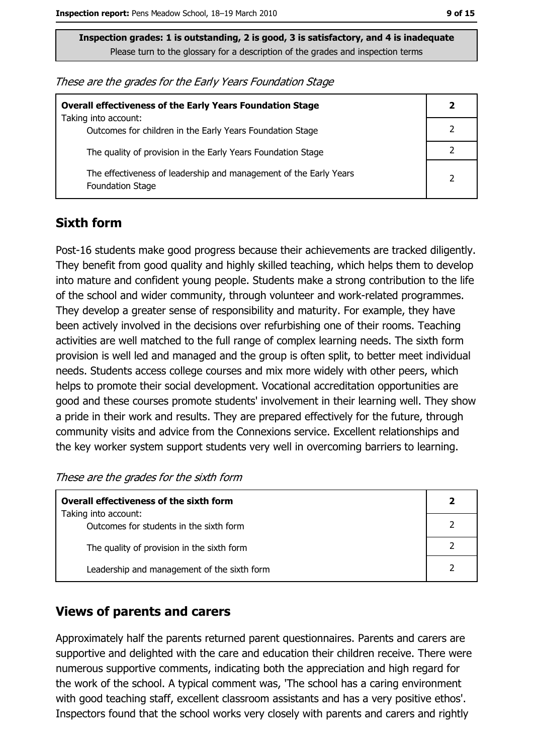| These are the grades for the Early Years Foundation Stage |  |  |
|-----------------------------------------------------------|--|--|
|-----------------------------------------------------------|--|--|

| <b>Overall effectiveness of the Early Years Foundation Stage</b>                             | 2              |
|----------------------------------------------------------------------------------------------|----------------|
| Taking into account:<br>Outcomes for children in the Early Years Foundation Stage            |                |
| The quality of provision in the Early Years Foundation Stage                                 |                |
| The effectiveness of leadership and management of the Early Years<br><b>Foundation Stage</b> | $\overline{2}$ |

## **Sixth form**

Post-16 students make good progress because their achievements are tracked diligently. They benefit from good quality and highly skilled teaching, which helps them to develop into mature and confident young people. Students make a strong contribution to the life of the school and wider community, through volunteer and work-related programmes. They develop a greater sense of responsibility and maturity. For example, they have been actively involved in the decisions over refurbishing one of their rooms. Teaching activities are well matched to the full range of complex learning needs. The sixth form provision is well led and managed and the group is often split, to better meet individual needs. Students access college courses and mix more widely with other peers, which helps to promote their social development. Vocational accreditation opportunities are good and these courses promote students' involvement in their learning well. They show a pride in their work and results. They are prepared effectively for the future, through community visits and advice from the Connexions service. Excellent relationships and the key worker system support students very well in overcoming barriers to learning.

These are the grades for the sixth form

| <b>Overall effectiveness of the sixth form</b>                  |  |  |
|-----------------------------------------------------------------|--|--|
| Taking into account:<br>Outcomes for students in the sixth form |  |  |
|                                                                 |  |  |
| The quality of provision in the sixth form                      |  |  |
| Leadership and management of the sixth form                     |  |  |

## **Views of parents and carers**

Approximately half the parents returned parent questionnaires. Parents and carers are supportive and delighted with the care and education their children receive. There were numerous supportive comments, indicating both the appreciation and high regard for the work of the school. A typical comment was, 'The school has a caring environment with good teaching staff, excellent classroom assistants and has a very positive ethos'. Inspectors found that the school works very closely with parents and carers and rightly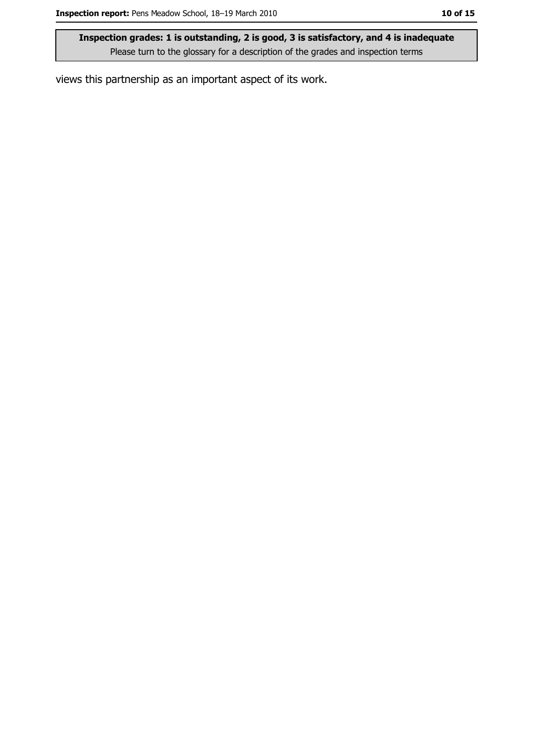views this partnership as an important aspect of its work.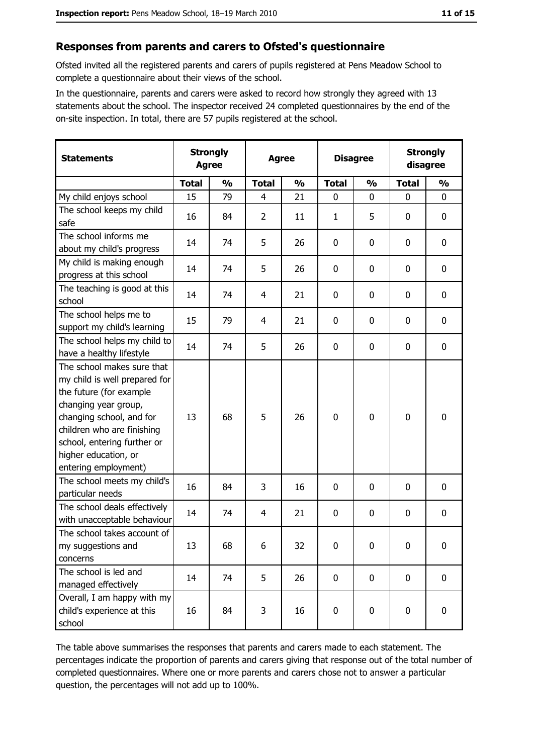#### Responses from parents and carers to Ofsted's questionnaire

Ofsted invited all the registered parents and carers of pupils registered at Pens Meadow School to complete a questionnaire about their views of the school.

In the questionnaire, parents and carers were asked to record how strongly they agreed with 13 statements about the school. The inspector received 24 completed questionnaires by the end of the on-site inspection. In total, there are 57 pupils registered at the school.

| <b>Statements</b>                                                                                                                                                                                                                                       | <b>Strongly</b><br><b>Agree</b> |               | <b>Agree</b> |               | <b>Disagree</b> |               | <b>Strongly</b><br>disagree |               |
|---------------------------------------------------------------------------------------------------------------------------------------------------------------------------------------------------------------------------------------------------------|---------------------------------|---------------|--------------|---------------|-----------------|---------------|-----------------------------|---------------|
|                                                                                                                                                                                                                                                         | <b>Total</b>                    | $\frac{0}{0}$ | <b>Total</b> | $\frac{0}{0}$ | <b>Total</b>    | $\frac{0}{0}$ | <b>Total</b>                | $\frac{0}{0}$ |
| My child enjoys school                                                                                                                                                                                                                                  | 15                              | 79            | 4            | 21            | $\mathbf 0$     | $\mathbf 0$   | $\mathbf 0$                 | 0             |
| The school keeps my child<br>safe                                                                                                                                                                                                                       | 16                              | 84            | 2            | 11            | 1               | 5             | 0                           | 0             |
| The school informs me<br>about my child's progress                                                                                                                                                                                                      | 14                              | 74            | 5            | 26            | 0               | $\mathbf 0$   | 0                           | 0             |
| My child is making enough<br>progress at this school                                                                                                                                                                                                    | 14                              | 74            | 5            | 26            | 0               | 0             | 0                           | 0             |
| The teaching is good at this<br>school                                                                                                                                                                                                                  | 14                              | 74            | 4            | 21            | 0               | 0             | 0                           | 0             |
| The school helps me to<br>support my child's learning                                                                                                                                                                                                   | 15                              | 79            | 4            | 21            | 0               | $\mathbf 0$   | 0                           | 0             |
| The school helps my child to<br>have a healthy lifestyle                                                                                                                                                                                                | 14                              | 74            | 5            | 26            | 0               | 0             | 0                           | 0             |
| The school makes sure that<br>my child is well prepared for<br>the future (for example<br>changing year group,<br>changing school, and for<br>children who are finishing<br>school, entering further or<br>higher education, or<br>entering employment) | 13                              | 68            | 5            | 26            | $\mathbf 0$     | $\mathbf 0$   | 0                           | 0             |
| The school meets my child's<br>particular needs                                                                                                                                                                                                         | 16                              | 84            | 3            | 16            | 0               | $\mathbf{0}$  | 0                           | 0             |
| The school deals effectively<br>with unacceptable behaviour                                                                                                                                                                                             | 14                              | 74            | 4            | 21            | 0               | 0             | 0                           | 0             |
| The school takes account of<br>my suggestions and<br>concerns                                                                                                                                                                                           | 13                              | 68            | 6            | 32            | 0               | 0             | 0                           | 0             |
| The school is led and<br>managed effectively                                                                                                                                                                                                            | 14                              | 74            | 5            | 26            | $\pmb{0}$       | 0             | $\mathbf 0$                 | 0             |
| Overall, I am happy with my<br>child's experience at this<br>school                                                                                                                                                                                     | 16                              | 84            | 3            | 16            | 0               | 0             | $\bf{0}$                    | 0             |

The table above summarises the responses that parents and carers made to each statement. The percentages indicate the proportion of parents and carers giving that response out of the total number of completed questionnaires. Where one or more parents and carers chose not to answer a particular question, the percentages will not add up to 100%.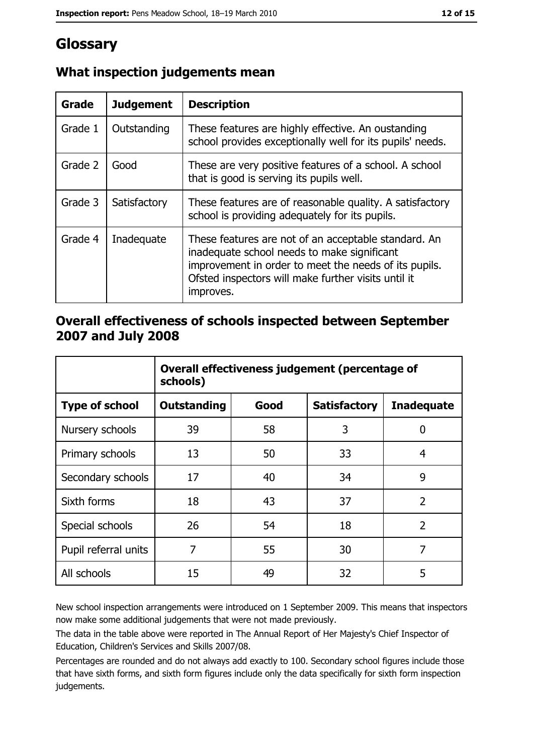# Glossary

| Grade   | <b>Judgement</b> | <b>Description</b>                                                                                                                                                                                                               |
|---------|------------------|----------------------------------------------------------------------------------------------------------------------------------------------------------------------------------------------------------------------------------|
| Grade 1 | Outstanding      | These features are highly effective. An oustanding<br>school provides exceptionally well for its pupils' needs.                                                                                                                  |
| Grade 2 | Good             | These are very positive features of a school. A school<br>that is good is serving its pupils well.                                                                                                                               |
| Grade 3 | Satisfactory     | These features are of reasonable quality. A satisfactory<br>school is providing adequately for its pupils.                                                                                                                       |
| Grade 4 | Inadequate       | These features are not of an acceptable standard. An<br>inadequate school needs to make significant<br>improvement in order to meet the needs of its pupils.<br>Ofsted inspectors will make further visits until it<br>improves. |

## What inspection judgements mean

## Overall effectiveness of schools inspected between September 2007 and July 2008

|                       | Overall effectiveness judgement (percentage of<br>schools) |      |                     |                   |
|-----------------------|------------------------------------------------------------|------|---------------------|-------------------|
| <b>Type of school</b> | <b>Outstanding</b>                                         | Good | <b>Satisfactory</b> | <b>Inadequate</b> |
| Nursery schools       | 39                                                         | 58   | 3                   | 0                 |
| Primary schools       | 13                                                         | 50   | 33                  | 4                 |
| Secondary schools     | 17                                                         | 40   | 34                  | 9                 |
| Sixth forms           | 18                                                         | 43   | 37                  | $\overline{2}$    |
| Special schools       | 26                                                         | 54   | 18                  | $\overline{2}$    |
| Pupil referral units  | 7                                                          | 55   | 30                  | 7                 |
| All schools           | 15                                                         | 49   | 32                  | 5                 |

New school inspection arrangements were introduced on 1 September 2009. This means that inspectors now make some additional judgements that were not made previously.

The data in the table above were reported in The Annual Report of Her Majesty's Chief Inspector of Education, Children's Services and Skills 2007/08.

Percentages are rounded and do not always add exactly to 100. Secondary school figures include those that have sixth forms, and sixth form figures include only the data specifically for sixth form inspection judgements.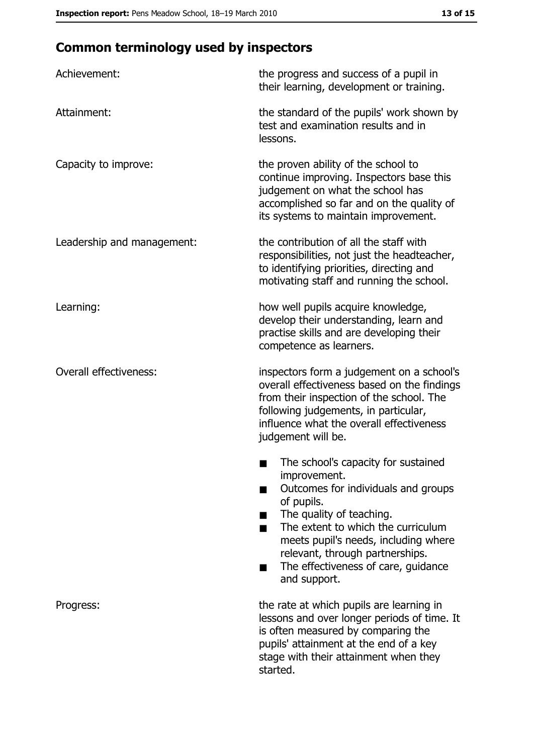# **Common terminology used by inspectors**

| Achievement:                  | the progress and success of a pupil in<br>their learning, development or training.                                                                                                                                                                                                                                |  |
|-------------------------------|-------------------------------------------------------------------------------------------------------------------------------------------------------------------------------------------------------------------------------------------------------------------------------------------------------------------|--|
| Attainment:                   | the standard of the pupils' work shown by<br>test and examination results and in<br>lessons.                                                                                                                                                                                                                      |  |
| Capacity to improve:          | the proven ability of the school to<br>continue improving. Inspectors base this<br>judgement on what the school has<br>accomplished so far and on the quality of<br>its systems to maintain improvement.                                                                                                          |  |
| Leadership and management:    | the contribution of all the staff with<br>responsibilities, not just the headteacher,<br>to identifying priorities, directing and<br>motivating staff and running the school.                                                                                                                                     |  |
| Learning:                     | how well pupils acquire knowledge,<br>develop their understanding, learn and<br>practise skills and are developing their<br>competence as learners.                                                                                                                                                               |  |
| <b>Overall effectiveness:</b> | inspectors form a judgement on a school's<br>overall effectiveness based on the findings<br>from their inspection of the school. The<br>following judgements, in particular,<br>influence what the overall effectiveness<br>judgement will be.                                                                    |  |
|                               | The school's capacity for sustained<br>improvement.<br>Outcomes for individuals and groups<br>of pupils.<br>The quality of teaching.<br>The extent to which the curriculum<br>meets pupil's needs, including where<br>relevant, through partnerships.<br>The effectiveness of care, guidance<br>▄<br>and support. |  |
| Progress:                     | the rate at which pupils are learning in<br>lessons and over longer periods of time. It<br>is often measured by comparing the<br>pupils' attainment at the end of a key<br>stage with their attainment when they<br>started.                                                                                      |  |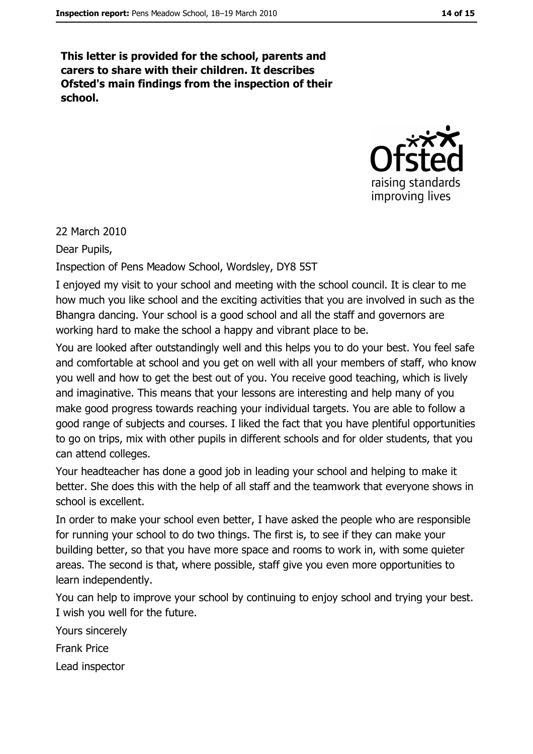This letter is provided for the school, parents and carers to share with their children. It describes Ofsted's main findings from the inspection of their school.



22 March 2010

Dear Pupils,

Inspection of Pens Meadow School, Wordsley, DY8 5ST

I enjoyed my visit to your school and meeting with the school council. It is clear to me how much you like school and the exciting activities that you are involved in such as the Bhangra dancing. Your school is a good school and all the staff and governors are working hard to make the school a happy and vibrant place to be.

You are looked after outstandingly well and this helps you to do your best. You feel safe and comfortable at school and you get on well with all your members of staff, who know you well and how to get the best out of you. You receive good teaching, which is lively and imaginative. This means that your lessons are interesting and help many of you make good progress towards reaching your individual targets. You are able to follow a good range of subjects and courses. I liked the fact that you have plentiful opportunities to go on trips, mix with other pupils in different schools and for older students, that you can attend colleges.

Your headteacher has done a good job in leading your school and helping to make it better. She does this with the help of all staff and the teamwork that everyone shows in school is excellent.

In order to make your school even better, I have asked the people who are responsible for running your school to do two things. The first is, to see if they can make your building better, so that you have more space and rooms to work in, with some quieter areas. The second is that, where possible, staff give you even more opportunities to learn independently.

You can help to improve your school by continuing to enjoy school and trying your best. I wish you well for the future.

Yours sincerely **Frank Price** 

Lead inspector